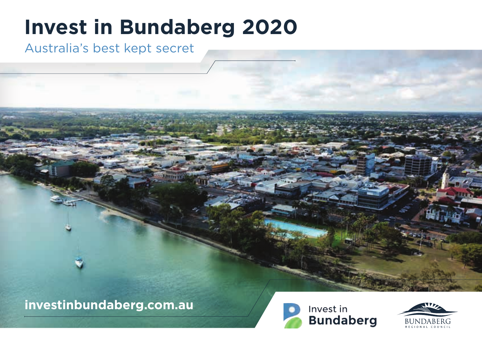# **Invest in Bundaberg 2020**

## Australia's best kept secret

## **investinbundaberg.com.au**



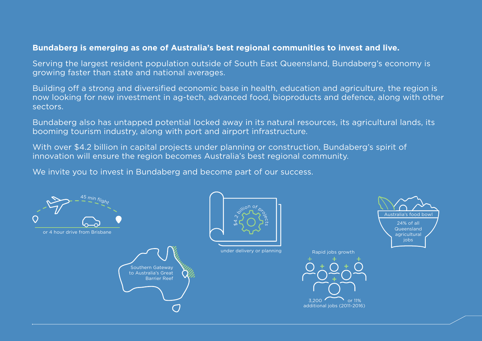### **Bundaberg is emerging as one of Australia's best regional communities to invest and live.**

Serving the largest resident population outside of South East Queensland, Bundaberg's economy is growing faster than state and national averages.

Building off a strong and diversified economic base in health, education and agriculture, the region is now looking for new investment in ag-tech, advanced food, bioproducts and defence, along with other sectors.

Bundaberg also has untapped potential locked away in its natural resources, its agricultural lands, its booming tourism industry, along with port and airport infrastructure.

With over \$4.2 billion in capital projects under planning or construction, Bundaberg's spirit of innovation will ensure the region becomes Australia's best regional community.

We invite you to invest in Bundaberg and become part of our success.

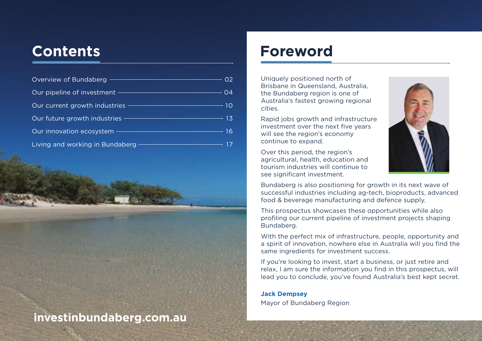| Overview of Bundaberg ——                              | O <sub>2</sub> |
|-------------------------------------------------------|----------------|
| Our pipeline of investment ————————————————————       | 04             |
| Our current growth industries ———————————————————— 10 |                |
| Our future growth industries —                        | $-13$          |
| Our innovation ecosystem —                            | -16            |
| Living and working in Bundaberg ——                    | 17             |

## **investinbundaberg.com.au**

## **Contents Foreword**

Uniquely positioned north of Brisbane in Queensland, Australia, the Bundaberg region is one of Australia's fastest growing regional cities.

Rapid jobs growth and infrastructure investment over the next five years will see the region's economy continue to expand.

Over this period, the region's agricultural, health, education and tourism industries will continue to see significant investment.



Bundaberg is also positioning for growth in its next wave of successful industries including ag-tech, bioproducts, advanced food & beverage manufacturing and defence supply.

This prospectus showcases these opportunities while also profiling our current pipeline of investment projects shaping Bundaberg.

With the perfect mix of infrastructure, people, opportunity and a spirit of innovation, nowhere else in Australia will you find the same ingredients for investment success.

If you're looking to invest, start a business, or just retire and relax, I am sure the information you find in this prospectus, will lead you to conclude, you've found Australia's best kept secret.

**Jack Dempsey** Mayor of Bundaberg Region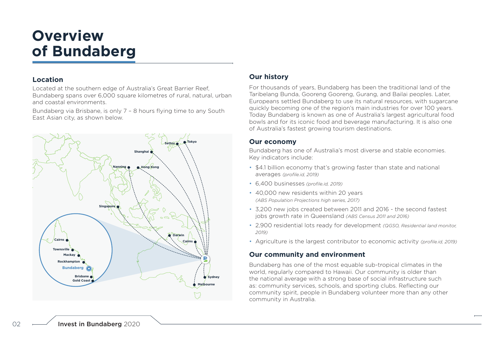# **Overview of Bundaberg**

### **Location**

Located at the southern edge of Australia's Great Barrier Reef, Bundaberg spans over 6,000 square kilometres of rural, natural, urban and coastal environments.

Bundaberg via Brisbane, is only 7 – 8 hours flying time to any South East Asian city, as shown below.



### **Our history**

For thousands of years, Bundaberg has been the traditional land of the Taribelang Bunda, Gooreng Gooreng, Gurang, and Bailai peoples. Later, Europeans settled Bundaberg to use its natural resources, with sugarcane quickly becoming one of the region's main industries for over 100 years. Today Bundaberg is known as one of Australia's largest agricultural food bowls and for its iconic food and beverage manufacturing. It is also one of Australia's fastest growing tourism destinations.

### **Our economy**

Bundaberg has one of Australia's most diverse and stable economies. Key indicators include:

- \$4.1 billion economy that's growing faster than state and national averages *(profile.id, 2019)*
- 6,400 businesses *(profile.id, 2019)*
- 40,000 new residents within 20 years *(ABS Population Projections high series, 2017)*
- 3,200 new jobs created between 2011 and 2016 the second fastest jobs growth rate in Queensland *(ABS Census 2011 and 2016)*
- 2,900 residential lots ready for development *(QGSO, Residential land monitor, 2019)*
- Agriculture is the largest contributor to economic activity *(profile.id, 2019)*

### **Our community and environment**

Bundaberg has one of the most equable sub-tropical climates in the world, regularly compared to Hawaii. Our community is older than the national average with a strong base of social infrastructure such as: community services, schools, and sporting clubs. Reflecting our community spirit, people in Bundaberg volunteer more than any other community in Australia.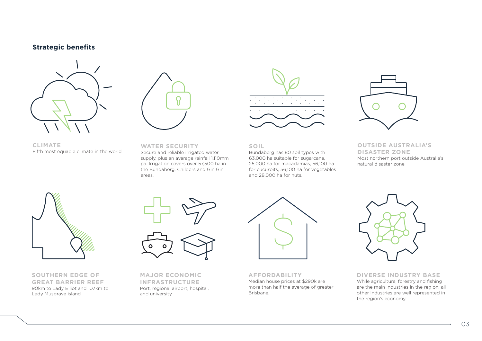### **Strategic benefits**





**CLIMATE** Fifth most equable climate in the world

**WATER SECURITY** Secure and reliable irrigated water supply, plus an average rainfall 1,110mm pa. Irrigation covers over 57,500 ha in the Bundaberg, Childers and Gin Gin areas.



**SOIL**

Bundaberg has 80 soil types with 63,000 ha suitable for sugarcane, 25,000 ha for macadamias, 56,100 ha for cucurbits, 56,100 ha for vegetables and 28,000 ha for nuts.



**OUTSIDE AUSTRALIA'S DISASTER ZONE** Most northern port outside Australia's natural disaster zone.



**SOUTHERN EDGE OF GREAT BARRIER REEF** 90km to Lady Elliot and 107km to Lady Musgrave island



**MAJOR ECONOMIC INFRASTRUCTURE** Port, regional airport, hospital, and university



**AFFORDABILITY** Median house prices at \$290k are more than half the average of greater Brisbane.



**DIVERSE INDUSTRY BASE** While agriculture, forestry and fishing are the main industries in the region, all other industries are well represented in the region's economy.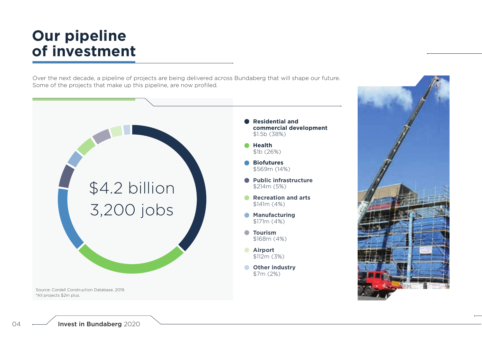# **Our pipeline of investment**

Over the next decade, a pipeline of projects are being delivered across Bundaberg that will shape our future. Some of the projects that make up this pipeline, are now profiled.

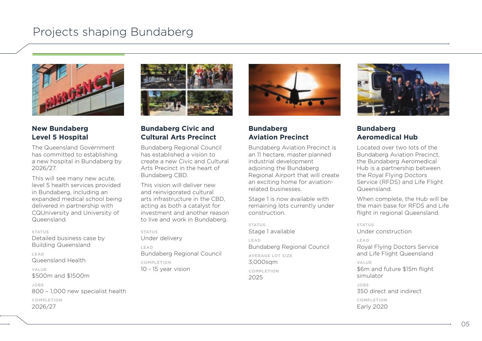

### **New Bundaberg Level 5 Hospital**

The Queensland Government has committed to establishing a new hospital in Bundaberg by 2026/27.

This will see many new acute, level 5 health services provided in Bundaberg, including an expanded medical school being delivered in partnership with CQUniversity and University of Queensland

### **STATUS**

Detailed business case by Building Queensland

**LEAD** Queensland Health

**VALUE** \$500m and \$1500m

**JOBS** 800 – 1,000 new specialist health **COMPLETION** 2026/27



### **Bundaberg Civic and Cultural Arts Precinct**

Bundaberg Regional Council has established a vision to create a new Civic and Cultural Arts Precinct in the heart of Bundaberg CBD.

This vision will deliver new and reinvigorated cultural arts infrastructure in the CBD, acting as both a catalyst for investment and another reason to live and work in Bundaberg.

### **STATUS**

Under delivery **LEAD** Bundaberg Regional Council **COMPLETION**

10 - 15 year vision



### **Bundaberg Aviation Precinct**

Bundaberg Aviation Precinct is an 11 hectare, master planned industrial development adjoining the Bundaberg Regional Airport that will create an exciting home for aviationrelated businesses.

Stage 1 is now available with remaining lots currently under construction.

### **STATUS** Stage 1 available **LEAD** Bundaberg Regional Council **AVERAGE LOT SIZE** 3,000sqm **COMPLETION** 2025



### **Bundaberg Aeromedical Hub**

Located over two lots of the Bundaberg Aviation Precinct, the Bundaberg Aeromedical Hub is a partnership between the Royal Flying Doctors Service (RFDS) and Life Flight Queensland.

When complete, the Hub will be the main base for RFDS and Life flight in regional Queensland.

**STATUS** Under construction

**LEAD** Royal Flying Doctors Service and Life Flight Queensland

### **VALUE**

\$6m and future \$15m flight simulator

**JOBS** 350 direct and indirect

**COMPLETION** Early 2020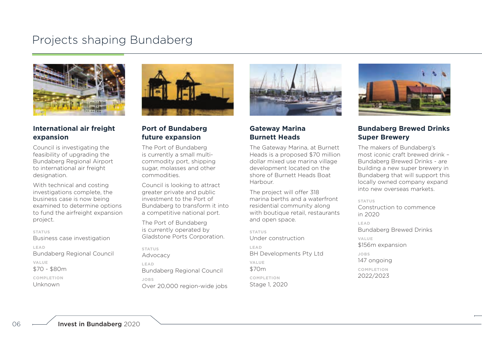

### **International air freight expansion**

Council is investigating the feasibility of upgrading the Bundaberg Regional Airport to international air freight designation.

With technical and costing investigations complete, the business case is now being examined to determine options to fund the airfreight expansion project.

### **STATUS**

Business case investigation **LEAD** Bundaberg Regional Council **VALUE**

\$70 - \$80m

**COMPLETION** Unknown



### **Port of Bundaberg future expansion**

The Port of Bundaberg is currently a small multicommodity port, shipping sugar, molasses and other commodities.

Council is looking to attract greater private and public investment to the Port of Bundaberg to transform it into a competitive national port.

The Port of Bundaberg is currently operated by Gladstone Ports Corporation.

**STATUS**

Advocacy **LEAD** Bundaberg Regional Council **JOBS** Over 20,000 region-wide jobs



### **Gateway Marina Burnett Heads**

The Gateway Marina, at Burnett Heads is a proposed \$70 million dollar mixed use marina village development located on the shore of Burnett Heads Boat Harbour.

The project will offer 318 marina berths and a waterfront residential community along with boutique retail, restaurants and open space.

**STATUS** Under construction **LEAD** BH Developments Pty Ltd **VALUE** \$70m **COMPLETION** Stage 1, 2020



### **Bundaberg Brewed Drinks Super Brewery**

The makers of Bundaberg's most iconic craft brewed drink – Bundaberg Brewed Drinks - are building a new super brewery in Bundaberg that will support this locally owned company expand into new overseas markets.

**STATUS**

Construction to commence in 2020

**LEAD** Bundaberg Brewed Drinks **VALUE** \$156m expansion **JOBS** 147 ongoing **COMPLETION** 2022/2023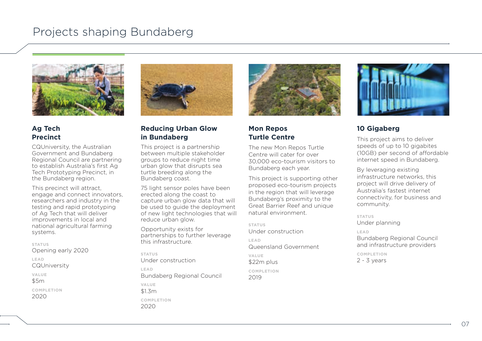

### **Ag Tech Precinct**

CQUniversity, the Australian Government and Bundaberg Regional Council are partnering to establish Australia's first Ag Tech Prototyping Precinct, in the Bundaberg region.

This precinct will attract, engage and connect innovators, researchers and industry in the testing and rapid prototyping of Ag Tech that will deliver improvements in local and national agricultural farming systems.

**STATUS** Opening early 2020

**LEAD**

**CQUniversity** 

**VALUE**

\$5m

**COMPLETION** 2020



### **Reducing Urban Glow in Bundaberg**

This project is a partnership between multiple stakeholder groups to reduce night time urban glow that disrupts sea turtle breeding along the Bundaberg coast.

75 light sensor poles have been erected along the coast to capture urban glow data that will be used to guide the deployment of new light technologies that will reduce urban glow.

Opportunity exists for partnerships to further leverage this infrastructure.

**STATUS** Under construction

**LEAD** Bundaberg Regional Council

**VALUE** \$1.3m **COMPLETION** 2020



### **Mon Repos Turtle Centre**

The new Mon Repos Turtle Centre will cater for over 30,000 eco-tourism visitors to Bundaberg each year.

This project is supporting other proposed eco-tourism projects in the region that will leverage Bundaberg's proximity to the Great Barrier Reef and unique natural environment.

**STATUS**

Under construction **LEAD** Queensland Government **VALUE**

\$22m plus **COMPLETION**

2019



### **10 Gigaberg**

This project aims to deliver speeds of up to 10 gigabites (10GB) per second of affordable internet speed in Bundaberg.

By leveraging existing infrastructure networks, this project will drive delivery of Australia's fastest internet connectivity, for business and community.

**STATUS** Under planning

**LEAD** Bundaberg Regional Council and infrastructure providers

**COMPLETION** 2 - 3 years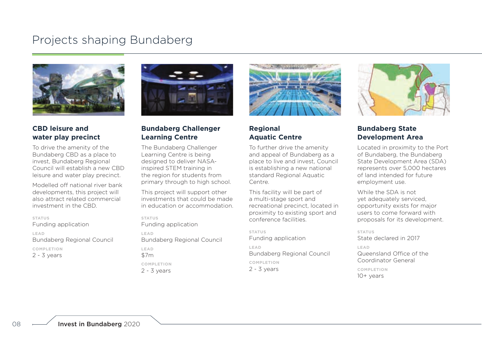

### **CBD leisure and water play precinct**

To drive the amenity of the Bundaberg CBD as a place to invest, Bundaberg Regional Council will establish a new CBD leisure and water play precinct.

Modelled off national river bank developments, this project will also attract related commercial investment in the CBD.

### **STATUS**

Funding application **LEAD**

Bundaberg Regional Council **COMPLETION** 2 - 3 years



### **Bundaberg Challenger Learning Centre**

The Bundaberg Challenger Learning Centre is being designed to deliver NASAinspired STEM training in the region for students from primary through to high school.

This project will support other investments that could be made in education or accommodation.

**STATUS** Funding application

**LEAD** Bundaberg Regional Council **LEAD** \$7m **COMPLETION** 2 - 3 years



### **Regional Aquatic Centre**

To further drive the amenity and appeal of Bundaberg as a place to live and invest, Council is establishing a new national standard Regional Aquatic Centre.

This facility will be part of a multi-stage sport and recreational precinct, located in proximity to existing sport and conference facilities.

**STATUS** Funding application **LEAD** Bundaberg Regional Council **COMPLETION** 2 - 3 years



### **Bundaberg State Development Area**

Located in proximity to the Port of Bundaberg, the Bundaberg State Development Area (SDA) represents over 5,000 hectares of land intended for future employment use.

While the SDA is not yet adequately serviced, opportunity exists for major users to come forward with proposals for its development.

**STATUS** State declared in 2017 **LEAD** Queensland Office of the Coordinator General **COMPLETION**

10+ years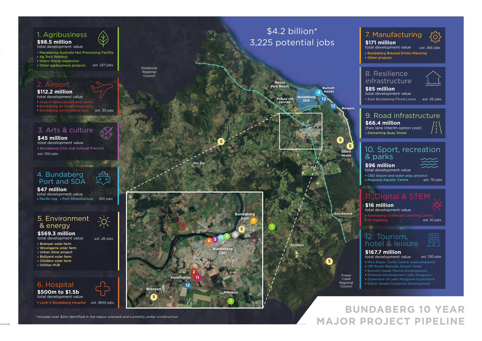## 1. Agribusiness

### **\$98.5 million** total development value

› Macadamia Australia Nut Processing Facility › Ag Tech Precinct › Oreco Group expansion › Other agribusiness projects *est. 237 jobs*

### 2. Airport

**\$112.2 million** total development value › Airport development and works › Bundaberg air freight expansion › Bundaberg Aeromedical Hub *est. 35 jobs*

### 3. Arts & culture

› Bundaberg Civic and Cultural Precinct *est. 100 jobs* **\$45 million** total development value

### 4. Bundaberg Port and SDA

**\$47 million** total development value › Pacific tug › Port infrastructure *100 jobs*

### 5. Environment & energy

**\$569.3 million** total development value

- › Branyan solar farm
- › Woongarra solar farm
- › Urban Glow project
- › Bullyard solar farm
- › Childers solar farm
- › Utilitas HUB

### 6. Hospital **\$500m to \$1.5b**

total development value › Level 5 Bundaberg Hospital *est. 1800 jobs*



*est. 26 jobs*

:`∩́-

 $\circ$   $\circ$ 

## \$4.2 billion<sup>\*</sup> 3,225 potential jobs

**Suture rail Future corridor**

<sup>|</sup> <sup>|</sup> <sup>|</sup> <sup>|</sup> <sup>|</sup> <sup>|</sup> <sup>|</sup> <sup>|</sup> <sup>|</sup> <sup>|</sup> <sup>|</sup> <sup>|</sup> <sup>|</sup> <sup>|</sup> <sup>|</sup>

Gladstone Regional Council

**Gin Gin**

North Burnett Regional Council **1**

**12**

**Kensington**

**5**

**Branyan**

**11**

**2**

**6 3**

**10 9**

**Bundaberg CBD**

**Alloway**

**5**

**Bundaberg East**

 $_{\rm x}$  $_{\rm x}$  $_{\rm x}$  $\boldsymbol{\mathsf{x}}$ ×  $\overleftrightarrow{\phantom{a}}$  $\bm{\mathsf{x}}$  $\boldsymbol{\times}$  $\bm{\times}$ |  $\boldsymbol{\times}$  $\boldsymbol{\ast}$  $_{\rm x}$  $\boldsymbol{\mathsf{x}}$  $\boldsymbol{\mathord{\sim}}$ -

**5**



**Bundaberg** 

**12**

**12**

### | |  $\kappa$ | \* \* **5**

×

\* - $\pmb{\times}$ | **Goodwood**

# **Childers**

**5** Fraser Coast Regional Council

 $\mathbf{v}$ 

**Elliott Heads**

**5**

**Bargara**

|

### 7. Manufacturing

› Bundaberg Brewed Drinks Planning › Other projects **\$171 million** total development value *est. 365 jobs*

### 8. Resilience infrastructure

› East Bundaberg Flood Levee *est. 45 jobs* **\$85 million** total development value

### 9. Road infrastructure

**\$66.4 million** (two lane interim option cost) › Demaining Quay Street

### 10. Sport, recreation & parks

**\$96 million** total development value

**> CBD leisure and water play precinct**<br>> Regional Aguatic Centre est. 70 iobs › Regional Aquatic Centre *est. 70 jobs*

## 11. Digital & STE

› Bundaberg Challenger Learning Centre  $\rightarrow$  10 Gigal **\$16 million** total development value *est. 10 jobs*

12. Tourism, hotel & leisure



## **\$167.7 million**

total development value › Expansion of Lady Musgrave Experience › Elliott Heads Foreshore Development *est. 130 jobs*

**BUNDABERG 10 YEAR MAJOR PROJECT PIPELINE**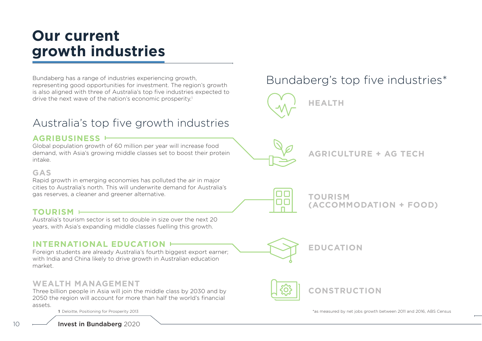## **Our current growth industries**

Bundaberg has a range of industries experiencing growth, representing good opportunities for investment. The region's growth is also aligned with three of Australia's top five industries expected to drive the next wave of the nation's economic prosperity.<sup>1</sup>

## Australia's top five growth industries

### **AGRIBUSINESS**

Global population growth of 60 million per year will increase food demand, with Asia's growing middle classes set to boost their protein intake.

### **GAS**

Rapid growth in emerging economies has polluted the air in major cities to Australia's north. This will underwrite demand for Australia's gas reserves, a cleaner and greener alternative.

### **TOURISM**

Australia's tourism sector is set to double in size over the next 20 years, with Asia's expanding middle classes fuelling this growth.

### **INTERNATIONAL EDUCATION**

Foreign students are already Australia's fourth biggest export earner; with India and China likely to drive growth in Australian education market.

### **WEALTH MANAGEMENT**

Three billion people in Asia will join the middle class by 2030 and by 2050 the region will account for more than half the world's financial assets.

10 **Invest in Bundaberg** 2020



**HEALTH** 

**AGRICULTURE + AG TECH**

**TOURISM (ACCOMMODATION + FOOD)**

**CONSTRUCTION**

**EDUCATION**

1 Deloitte, Positioning for Prosperity 2013 \*as measured by net jobs growth between 2011 and 2016, ABS Census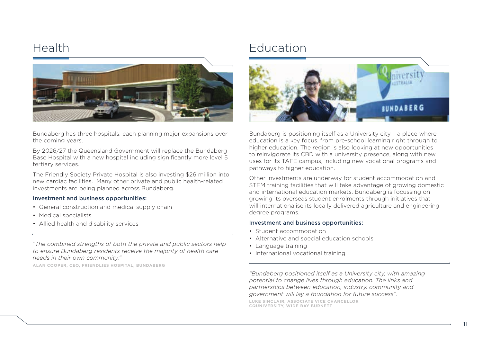

Bundaberg has three hospitals, each planning major expansions over the coming years.

By 2026/27 the Queensland Government will replace the Bundaberg Base Hospital with a new hospital including significantly more level 5 tertiary services.

The Friendly Society Private Hospital is also investing \$26 million into new cardiac facilities. Many other private and public health-related investments are being planned across Bundaberg.

### Investment and business opportunities:

- General construction and medical supply chain
- Medical specialists
- Allied health and disability services

*"The combined strengths of both the private and public sectors help to ensure Bundaberg residents receive the majority of health care needs in their own community."* 

**ALAN COOPER, CEO, FRIENDLIES HOSPITAL, BUNDABERG**

## Health **Education**



Bundaberg is positioning itself as a University city – a place where education is a key focus, from pre-school learning right through to higher education. The region is also looking at new opportunities to reinvigorate its CBD with a university presence, along with new uses for its TAFE campus, including new vocational programs and pathways to higher education.

Other investments are underway for student accommodation and STEM training facilities that will take advantage of growing domestic and international education markets. Bundaberg is focussing on growing its overseas student enrolments through initiatives that will internationalise its locally delivered agriculture and engineering degree programs.

### Investment and business opportunities:

- Student accommodation
- Alternative and special education schools
- Language training
- International vocational training

*"Bundaberg positioned itself as a University city, with amazing potential to change lives through education. The links and partnerships between education, industry, community and government will lay a foundation for future success".*

**LUKE SINCLAIR, ASSOCIATE VICE CHANCELLOR CQUNIVERSITY, WIDE BAY BURNETT**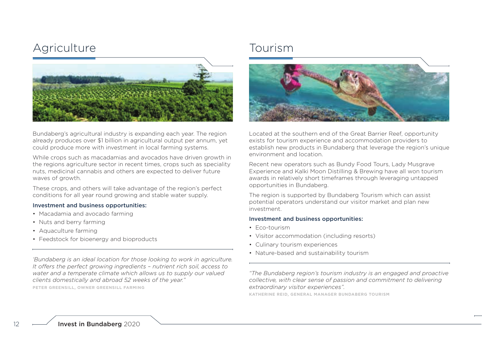## Agriculture Tourism



Bundaberg's agricultural industry is expanding each year. The region already produces over \$1 billion in agricultural output per annum, yet could produce more with investment in local farming systems.

While crops such as macadamias and avocados have driven growth in the regions agriculture sector in recent times, crops such as speciality nuts, medicinal cannabis and others are expected to deliver future waves of growth.

These crops, and others will take advantage of the region's perfect conditions for all year round growing and stable water supply.

### Investment and business opportunities:

- Macadamia and avocado farming
- Nuts and berry farming
- Aquaculture farming
- Feedstock for bioenergy and bioproducts

*'Bundaberg is an ideal location for those looking to work in agriculture. It offers the perfect growing ingredients – nutrient rich soil, access to water and a temperate climate which allows us to supply our valued clients domestically and abroad 52 weeks of the year."*

**PETER GREENSILL, OWNER GREENSILL FARMING** 



Located at the southern end of the Great Barrier Reef, opportunity exists for tourism experience and accommodation providers to establish new products in Bundaberg that leverage the region's unique environment and location.

Recent new operators such as Bundy Food Tours, Lady Musgrave Experience and Kalki Moon Distilling & Brewing have all won tourism awards in relatively short timeframes through leveraging untapped opportunities in Bundaberg.

The region is supported by Bundaberg Tourism which can assist potential operators understand our visitor market and plan new investment.

### Investment and business opportunities:

- Eco-tourism
- Visitor accommodation (including resorts)
- Culinary tourism experiences
- Nature-based and sustainability tourism

*"The Bundaberg region's tourism industry is an engaged and proactive collective, with clear sense of passion and commitment to delivering extraordinary visitor experiences".*

**KATHERINE REID, GENERAL MANAGER BUNDABERG TOURISM**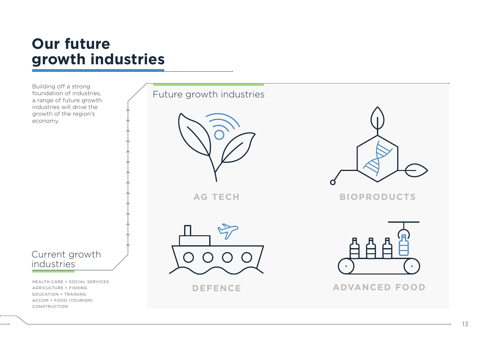## **Our future growth industries**

Building off a strong foundation of industries, a range of future growth industries will drive the growth of the region's economy.



HEALTH CARE + SOCIAL SERVICES AGRICULTURE + FISHING EDUCATION + TRAINING ACCOM + FOOD (TOURISM) CONSTRUCTION

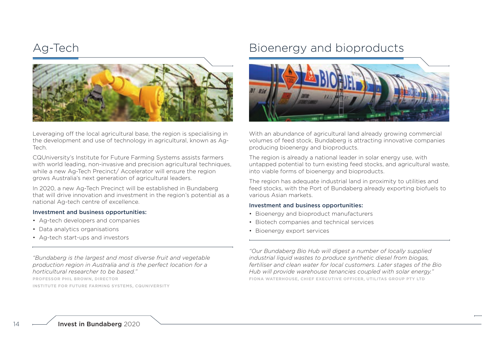

Leveraging off the local agricultural base, the region is specialising in the development and use of technology in agricultural, known as Ag-Tech.

CQUniversity's Institute for Future Farming Systems assists farmers with world leading, non-invasive and precision agricultural techniques, while a new Ag-Tech Precinct/ Accelerator will ensure the region grows Australia's next generation of agricultural leaders.

In 2020, a new Ag-Tech Precinct will be established in Bundaberg that will drive innovation and investment in the region's potential as a national Ag-tech centre of excellence.

### Investment and business opportunities:

- Ag-tech developers and companies
- Data analytics organisations
- Ag-tech start-ups and investors

*"Bundaberg is the largest and most diverse fruit and vegetable production region in Australia and is the perfect location for a horticultural researcher to be based."*

**PROFESSOR PHIL BROWN, DIRECTOR**

**INSTITUTE FOR FUTURE FARMING SYSTEMS, CQUNIVERSITY** 

## Ag-Tech Bioenergy and bioproducts



With an abundance of agricultural land already growing commercial volumes of feed stock, Bundaberg is attracting innovative companies producing bioenergy and bioproducts.

The region is already a national leader in solar energy use, with untapped potential to turn existing feed stocks, and agricultural waste, into viable forms of bioenergy and bioproducts.

The region has adequate industrial land in proximity to utilities and feed stocks, with the Port of Bundaberg already exporting biofuels to various Asian markets.

### Investment and business opportunities:

- Bioenergy and bioproduct manufacturers
- Biotech companies and technical services
- Bioenergy export services

*"Our Bundaberg Bio Hub will digest a number of locally supplied industrial liquid wastes to produce synthetic diesel from biogas, fertiliser and clean water for local customers. Later stages of the Bio Hub will provide warehouse tenancies coupled with solar energy."*  **FIONA WATERHOUSE, CHIEF EXECUTIVE OFFICER, UTILITAS GROUP PTY LTD**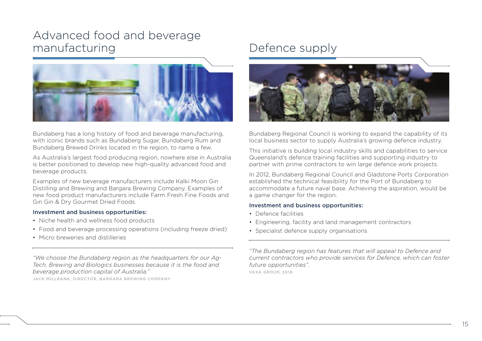## Advanced food and beverage manufacturing Defence supply



Bundaberg has a long history of food and beverage manufacturing, with iconic brands such as Bundaberg Sugar, Bundaberg Rum and Bundaberg Brewed Drinks located in the region, to name a few.

As Australia's largest food producing region, nowhere else in Australia is better positioned to develop new high-quality advanced food and beverage products.

Examples of new beverage manufacturers include Kalki Moon Gin Distilling and Brewing and Bargara Brewing Company. Examples of new food product manufacturers include Farm Fresh Fine Foods and Gin Gin & Dry Gourmet Dried Foods.

### Investment and business opportunities:

- Niche health and wellness food products
- Food and beverage processing operations (including freeze dried)
- Micro breweries and distilleries

*"We choose the Bundaberg region as the headquarters for our Ag-Tech, Brewing and Biologics businesses because it is the food and beverage production capital of Australia."* 

**JACK MILLBANK, DIRECTOR, BARGARA BREWING COMPANY**



Bundaberg Regional Council is working to expand the capability of its local business sector to supply Australia's growing defence industry.

This initiative is building local industry skills and capabilities to service Queensland's defence training facilities and supporting industry to partner with prime contractors to win large defence work projects.

In 2012, Bundaberg Regional Council and Gladstone Ports Corporation established the technical feasibility for the Port of Bundaberg to accommodate a future naval base. Achieving the aspiration, would be a game changer for the region.

### Investment and business opportunities:

- Defence facilities
- Engineering, facility and land management contractors
- Specialist defence supply organisations

*"The Bundaberg region has features that will appeal to Defence and current contractors who provide services for Defence, which can foster future opportunities".* 

**VAXA GROUP, 2018**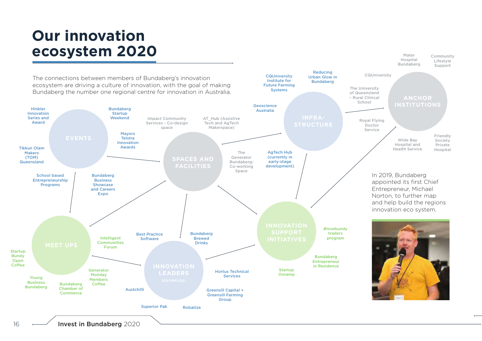# **Our innovation ecosystem 2020**



Community Lifestyle

Mater Hospital Bundaberg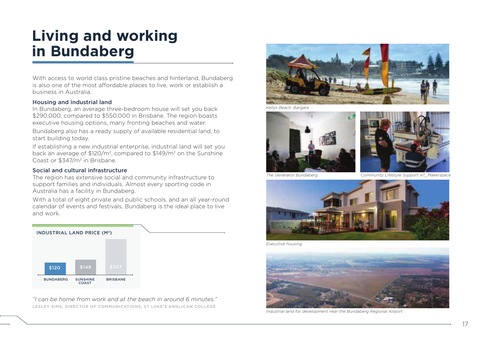# **Living and working in Bundaberg**

With access to world class pristine beaches and hinterland, Bundaberg is also one of the most affordable places to live, work or establish a business in Australia.

### Housing and industrial land

In Bundaberg, an average three-bedroom house will set you back \$290,000, compared to \$550,000 in Brisbane. The region boasts executive housing options, many fronting beaches and water.

Bundaberg also has a ready supply of available residential land, to start building today.

If establishing a new industrial enterprise, industrial land will set you back an average of \$120/m2, compared to \$149/m2 on the Sunshine Coast or \$347/m2 in Brisbane.

### Social and cultural infrastructure

The region has extensive social and community infrastructure to support families and individuals. Almost every sporting code in Australia has a facility in Bundaberg.

With a total of eight private and public schools, and an all year-round calendar of events and festivals, Bundaberg is the ideal place to live and work.



*"I can be home from work and at the beach in around 6 minutes."*  **LESLEY SIMS, DIRECTOR OF COMMUNICATIONS, ST LUKE'S ANGLICAN COLLEGE**



*Kellys Beach, Bargara*





*The Generator Bundaberg Community Lifestyle Support AT\_Makerspace*



*Executive housing*



*Industrial land for development near the Bundaberg Regional Airport*